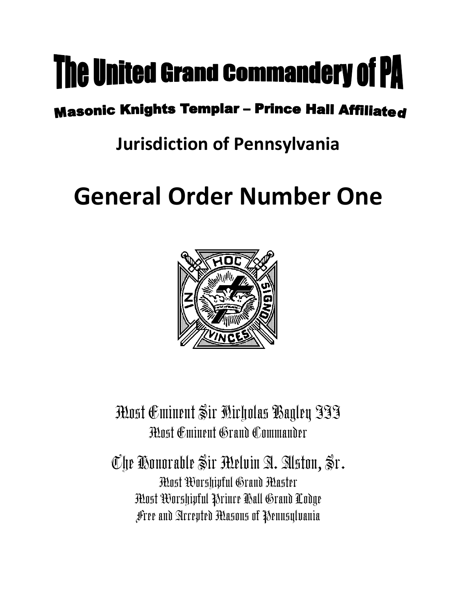# **The United Grand Commandery of PA**

### **Masonic Knights Templar - Prince Hall Affiliated**

## **Jurisdiction of Pennsylvania**

## **General Order Number One**



Most Eminent Sir Nicholas Bagley III Most Eminent Grand Commander

The Honorable Sir Melvin A. Alston, Sr. Most Worshipful Grand Master Most Worshipful Prince Hall Grand Lodge Free and Accepted Masons of Pennsylvania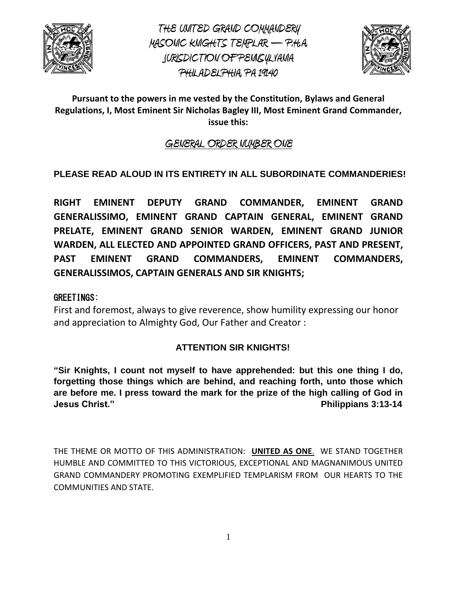

**THE UNITED GRAND COMMANDERY MASONIC KNIGHTS TEMPLAR – P.H.A. JURISDICTION OF PENNSYLVANIA PHILADELPHIA, PA 19140**



#### **Pursuant to the powers in me vested by the Constitution, Bylaws and General Regulations, I, Most Eminent Sir Nicholas Bagley III, Most Eminent Grand Commander, issue this:**

#### **GENERAL ORDER NUMBER ONE**

#### **PLEASE READ ALOUD IN ITS ENTIRETY IN ALL SUBORDINATE COMMANDERIES!**

**RIGHT EMINENT DEPUTY GRAND COMMANDER, EMINENT GRAND GENERALISSIMO, EMINENT GRAND CAPTAIN GENERAL, EMINENT GRAND PRELATE, EMINENT GRAND SENIOR WARDEN, EMINENT GRAND JUNIOR WARDEN, ALL ELECTED AND APPOINTED GRAND OFFICERS, PAST AND PRESENT, PAST EMINENT GRAND COMMANDERS, EMINENT COMMANDERS, GENERALISSIMOS, CAPTAIN GENERALS AND SIR KNIGHTS;**

#### GREETINGS:

First and foremost, always to give reverence, show humility expressing our honor and appreciation to Almighty God, Our Father and Creator :

#### **ATTENTION SIR KNIGHTS!**

**"Sir Knights, I count not myself to have apprehended: but this one thing I do, forgetting those things which are behind, and reaching forth, unto those which are before me. I press toward the mark for the prize of the high calling of God in Jesus Christ." Philippians 3:13-14**

THE THEME OR MOTTO OF THIS ADMINISTRATION: **UNITED AS ONE**. WE STAND TOGETHER HUMBLE AND COMMITTED TO THIS VICTORIOUS, EXCEPTIONAL AND MAGNANIMOUS UNITED GRAND COMMANDERY PROMOTING EXEMPLIFIED TEMPLARISM FROM OUR HEARTS TO THE COMMUNITIES AND STATE.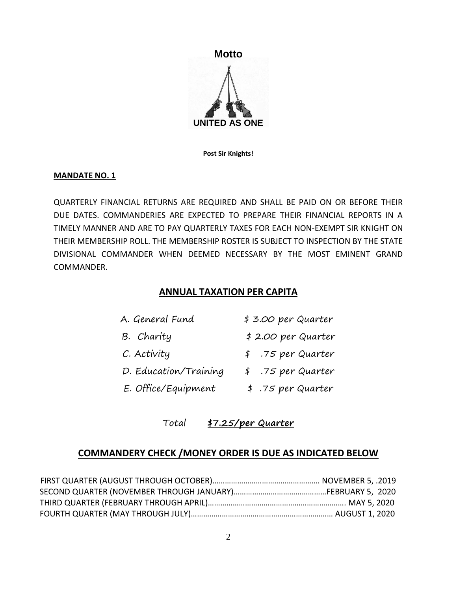

**Post Sir Knights!**

#### **MANDATE NO. 1**

QUARTERLY FINANCIAL RETURNS ARE REQUIRED AND SHALL BE PAID ON OR BEFORE THEIR DUE DATES. COMMANDERIES ARE EXPECTED TO PREPARE THEIR FINANCIAL REPORTS IN A TIMELY MANNER AND ARE TO PAY QUARTERLY TAXES FOR EACH NON-EXEMPT SIR KNIGHT ON THEIR MEMBERSHIP ROLL. THE MEMBERSHIP ROSTER IS SUBJECT TO INSPECTION BY THE STATE DIVISIONAL COMMANDER WHEN DEEMED NECESSARY BY THE MOST EMINENT GRAND COMMANDER.

#### **ANNUAL TAXATION PER CAPITA**

| A. General Fund       | \$ 3.00 per Quarter |
|-----------------------|---------------------|
| B. Charity            | \$2.00 per Quarter  |
| C. Activity           | \$ .75 per Quarter  |
| D. Education/Training | \$ .75 per Quarter  |

E. Office/Equipment \$ .75 per Quarter

#### Total **\$7.25/per Quarter**

#### **COMMANDERY CHECK /MONEY ORDER IS DUE AS INDICATED BELOW**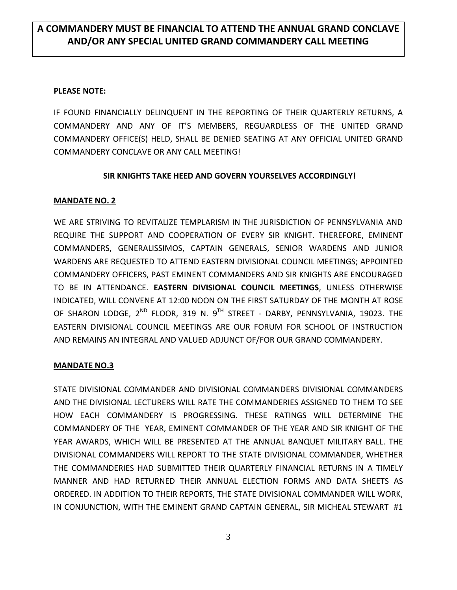#### **PLEASE NOTE:**

IF FOUND FINANCIALLY DELINQUENT IN THE REPORTING OF THEIR QUARTERLY RETURNS, A COMMANDERY AND ANY OF IT'S MEMBERS, REGUARDLESS OF THE UNITED GRAND COMMANDERY OFFICE(S) HELD, SHALL BE DENIED SEATING AT ANY OFFICIAL UNITED GRAND COMMANDERY CONCLAVE OR ANY CALL MEETING!

#### **SIR KNIGHTS TAKE HEED AND GOVERN YOURSELVES ACCORDINGLY!**

#### **MANDATE NO. 2**

WE ARE STRIVING TO REVITALIZE TEMPLARISM IN THE JURISDICTION OF PENNSYLVANIA AND REQUIRE THE SUPPORT AND COOPERATION OF EVERY SIR KNIGHT. THEREFORE, EMINENT COMMANDERS, GENERALISSIMOS, CAPTAIN GENERALS, SENIOR WARDENS AND JUNIOR WARDENS ARE REQUESTED TO ATTEND EASTERN DIVISIONAL COUNCIL MEETINGS; APPOINTED COMMANDERY OFFICERS, PAST EMINENT COMMANDERS AND SIR KNIGHTS ARE ENCOURAGED TO BE IN ATTENDANCE. **EASTERN DIVISIONAL COUNCIL MEETINGS**, UNLESS OTHERWISE INDICATED, WILL CONVENE AT 12:00 NOON ON THE FIRST SATURDAY OF THE MONTH AT ROSE OF SHARON LODGE, 2<sup>ND</sup> FLOOR, 319 N. 9<sup>TH</sup> STREET - DARBY, PENNSYLVANIA, 19023. THE EASTERN DIVISIONAL COUNCIL MEETINGS ARE OUR FORUM FOR SCHOOL OF INSTRUCTION AND REMAINS AN INTEGRAL AND VALUED ADJUNCT OF/FOR OUR GRAND COMMANDERY.

#### **MANDATE NO.3**

STATE DIVISIONAL COMMANDER AND DIVISIONAL COMMANDERS DIVISIONAL COMMANDERS AND THE DIVISIONAL LECTURERS WILL RATE THE COMMANDERIES ASSIGNED TO THEM TO SEE HOW EACH COMMANDERY IS PROGRESSING. THESE RATINGS WILL DETERMINE THE COMMANDERY OF THE YEAR, EMINENT COMMANDER OF THE YEAR AND SIR KNIGHT OF THE YEAR AWARDS, WHICH WILL BE PRESENTED AT THE ANNUAL BANQUET MILITARY BALL. THE DIVISIONAL COMMANDERS WILL REPORT TO THE STATE DIVISIONAL COMMANDER, WHETHER THE COMMANDERIES HAD SUBMITTED THEIR QUARTERLY FINANCIAL RETURNS IN A TIMELY MANNER AND HAD RETURNED THEIR ANNUAL ELECTION FORMS AND DATA SHEETS AS ORDERED. IN ADDITION TO THEIR REPORTS, THE STATE DIVISIONAL COMMANDER WILL WORK, IN CONJUNCTION, WITH THE EMINENT GRAND CAPTAIN GENERAL, SIR MICHEAL STEWART #1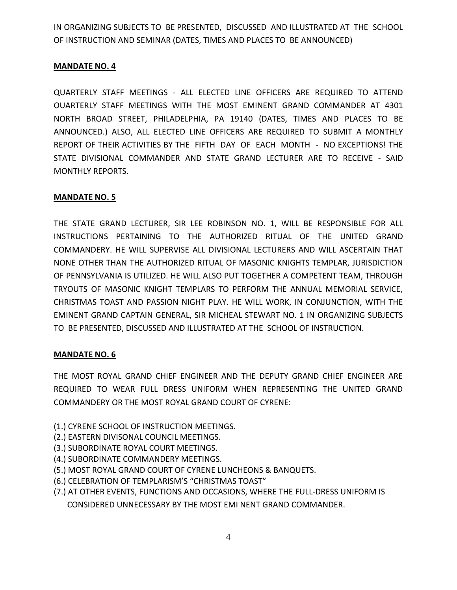IN ORGANIZING SUBJECTS TO BE PRESENTED, DISCUSSED AND ILLUSTRATED AT THE SCHOOL OF INSTRUCTION AND SEMINAR (DATES, TIMES AND PLACES TO BE ANNOUNCED)

#### **MANDATE NO. 4**

QUARTERLY STAFF MEETINGS - ALL ELECTED LINE OFFICERS ARE REQUIRED TO ATTEND OUARTERLY STAFF MEETINGS WITH THE MOST EMINENT GRAND COMMANDER AT 4301 NORTH BROAD STREET, PHILADELPHIA, PA 19140 (DATES, TIMES AND PLACES TO BE ANNOUNCED.) ALSO, ALL ELECTED LINE OFFICERS ARE REQUIRED TO SUBMIT A MONTHLY REPORT OF THEIR ACTIVITIES BY THE FIFTH DAY OF EACH MONTH - NO EXCEPTIONS! THE STATE DIVISIONAL COMMANDER AND STATE GRAND LECTURER ARE TO RECEIVE - SAID MONTHLY REPORTS.

#### **MANDATE NO. 5**

THE STATE GRAND LECTURER, SIR LEE ROBINSON NO. 1, WILL BE RESPONSIBLE FOR ALL INSTRUCTIONS PERTAINING TO THE AUTHORIZED RITUAL OF THE UNITED GRAND COMMANDERY. HE WILL SUPERVISE ALL DIVISIONAL LECTURERS AND WILL ASCERTAIN THAT NONE OTHER THAN THE AUTHORIZED RITUAL OF MASONIC KNIGHTS TEMPLAR, JURISDICTION OF PENNSYLVANIA IS UTILIZED. HE WILL ALSO PUT TOGETHER A COMPETENT TEAM, THROUGH TRYOUTS OF MASONIC KNIGHT TEMPLARS TO PERFORM THE ANNUAL MEMORIAL SERVICE, CHRISTMAS TOAST AND PASSION NIGHT PLAY. HE WILL WORK, IN CONJUNCTION, WITH THE EMINENT GRAND CAPTAIN GENERAL, SIR MICHEAL STEWART NO. 1 IN ORGANIZING SUBJECTS TO BE PRESENTED, DISCUSSED AND ILLUSTRATED AT THE SCHOOL OF INSTRUCTION.

#### **MANDATE NO. 6**

THE MOST ROYAL GRAND CHIEF ENGINEER AND THE DEPUTY GRAND CHIEF ENGINEER ARE REQUIRED TO WEAR FULL DRESS UNIFORM WHEN REPRESENTING THE UNITED GRAND COMMANDERY OR THE MOST ROYAL GRAND COURT OF CYRENE:

- (1.) CYRENE SCHOOL OF INSTRUCTION MEETINGS.
- (2.) EASTERN DIVISONAL COUNCIL MEETINGS.
- (3.) SUBORDINATE ROYAL COURT MEETINGS.
- (4.) SUBORDINATE COMMANDERY MEETINGS.
- (5.) MOST ROYAL GRAND COURT OF CYRENE LUNCHEONS & BANQUETS.
- (6.) CELEBRATION OF TEMPLARISM'S "CHRISTMAS TOAST"
- (7.) AT OTHER EVENTS, FUNCTIONS AND OCCASIONS, WHERE THE FULL-DRESS UNIFORM IS CONSIDERED UNNECESSARY BY THE MOST EMI NENT GRAND COMMANDER.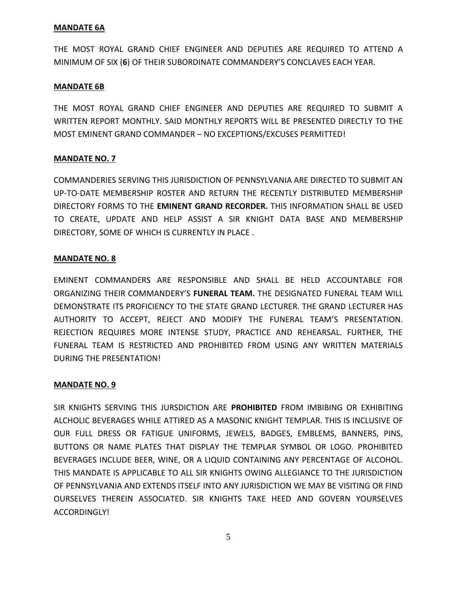#### **MANDATE 6A**

THE MOST ROYAL GRAND CHIEF ENGINEER AND DEPUTIES ARE REQUIRED TO ATTEND A MINIMUM OF SIX (**6**) OF THEIR SUBORDINATE COMMANDERY'S CONCLAVES EACH YEAR.

#### **MANDATE 6B**

THE MOST ROYAL GRAND CHIEF ENGINEER AND DEPUTIES ARE REQUIRED TO SUBMIT A WRITTEN REPORT MONTHLY. SAID MONTHLY REPORTS WILL BE PRESENTED DIRECTLY TO THE MOST EMINENT GRAND COMMANDER – NO EXCEPTIONS/EXCUSES PERMITTED!

#### **MANDATE NO. 7**

COMMANDERIES SERVING THIS JURISDICTION OF PENNSYLVANIA ARE DIRECTED TO SUBMIT AN UP-TO-DATE MEMBERSHIP ROSTER AND RETURN THE RECENTLY DISTRIBUTED MEMBERSHIP DIRECTORY FORMS TO THE **EMINENT GRAND RECORDER.** THIS INFORMATION SHALL BE USED TO CREATE, UPDATE AND HELP ASSIST A SIR KNIGHT DATA BASE AND MEMBERSHIP DIRECTORY, SOME OF WHICH IS CURRENTLY IN PLACE .

#### **MANDATE NO. 8**

EMINENT COMMANDERS ARE RESPONSIBLE AND SHALL BE HELD ACCOUNTABLE FOR ORGANIZING THEIR COMMANDERY'S **FUNERAL TEAM.** THE DESIGNATED FUNERAL TEAM WILL DEMONSTRATE ITS PROFICIENCY TO THE STATE GRAND LECTURER. THE GRAND LECTURER HAS AUTHORITY TO ACCEPT, REJECT AND MODIFY THE FUNERAL TEAM'S PRESENTATION. REJECTION REQUIRES MORE INTENSE STUDY, PRACTICE AND REHEARSAL. FURTHER, THE FUNERAL TEAM IS RESTRICTED AND PROHIBITED FROM USING ANY WRITTEN MATERIALS DURING THE PRESENTATION!

#### **MANDATE NO. 9**

SIR KNIGHTS SERVING THIS JURSDICTION ARE **PROHIBITED** FROM IMBIBING OR EXHIBITING ALCHOLIC BEVERAGES WHILE ATTIRED AS A MASONIC KNIGHT TEMPLAR. THIS IS INCLUSIVE OF OUR FULL DRESS OR FATIGUE UNIFORMS, JEWELS, BADGES, EMBLEMS, BANNERS, PINS, BUTTONS OR NAME PLATES THAT DISPLAY THE TEMPLAR SYMBOL OR LOGO. PROHIBITED BEVERAGES INCLUDE BEER, WINE, OR A LIQUID CONTAINING ANY PERCENTAGE OF ALCOHOL. THIS MANDATE IS APPLICABLE TO ALL SIR KNIGHTS OWING ALLEGIANCE TO THE JURISDICTION OF PENNSYLVANIA AND EXTENDS ITSELF INTO ANY JURISDICTION WE MAY BE VISITING OR FIND OURSELVES THEREIN ASSOCIATED. SIR KNIGHTS TAKE HEED AND GOVERN YOURSELVES ACCORDINGLY!